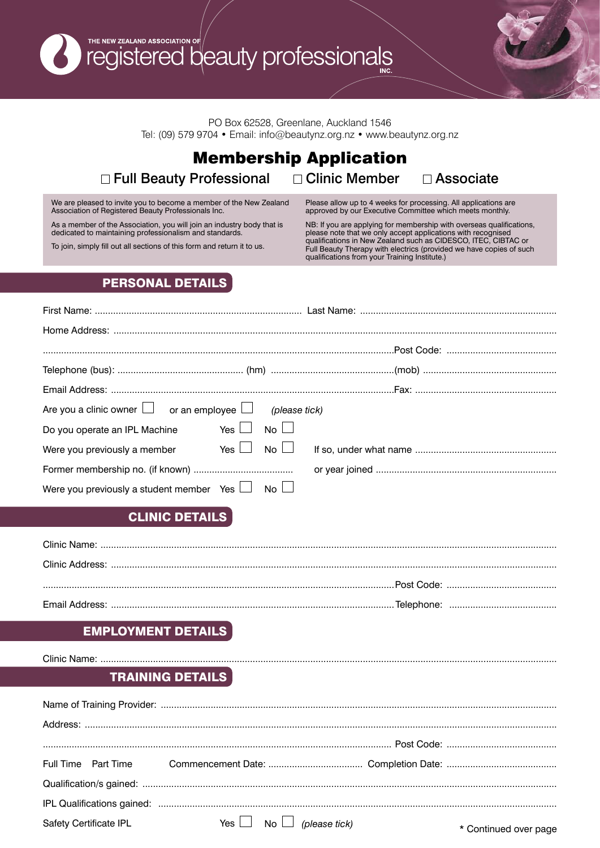THE NEW ZEALAND ASSOCIATION OF /<br>registered beauty professionals

PO Box 62528, Greenlane, Auckland 1546 Tel: (09) 579 9704 • Email: info@beautynz.org.nz • www.beautynz.org.nz

# Membership Application □ Full Beauty Professional □ Clinic Member □ Associate

We are pleased to invite you to become a member of the New Zealand Association of Registered Beauty Professionals Inc.

As a member of the Association, you will join an industry body that is dedicated to maintaining professionalism and standards.

To join, simply fill out all sections of this form and return it to us.

Please allow up to 4 weeks for processing. All applications are approved by our Executive Committee which meets monthly.

NB: If you are applying for membership with overseas qualifications, please note that we only accept applications with recognised qualifications in New Zealand such as CIDESCO, ITEC, CIBTAC or Full Beauty Therapy with electrics (provided we have copies of such qualifications from your Training Institute.)

## PERSONAL DETAILS

| Are you a clinic owner $\Box$ or an employee $\Box$ (please tick) |  |  |  |  |  |  |
|-------------------------------------------------------------------|--|--|--|--|--|--|
| Do you operate an IPL Machine Yes $\Box$ No $\Box$                |  |  |  |  |  |  |
|                                                                   |  |  |  |  |  |  |
|                                                                   |  |  |  |  |  |  |
| Were you previously a student member Yes $\Box$ No $\Box$         |  |  |  |  |  |  |

# CLINIC DETAILS

### EMPLOYMENT DETAILS

Clinic Name: ...............

# TRAINING DETAILS

| Safety Certificate IPL |  | Yes $\Box$ No $\Box$ (please tick) | * Continued over page |
|------------------------|--|------------------------------------|-----------------------|